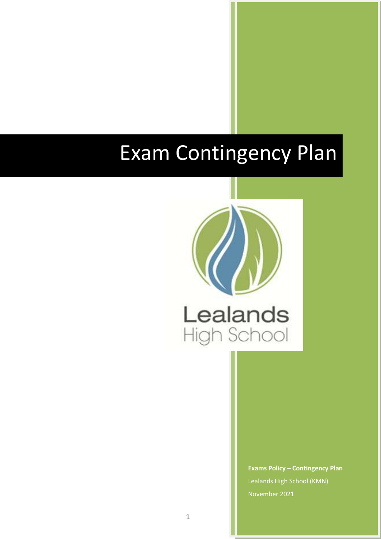# Exam Contingency Plan



**Exams Policy – Contingency Plan** Lealands High School (KMN) November 2021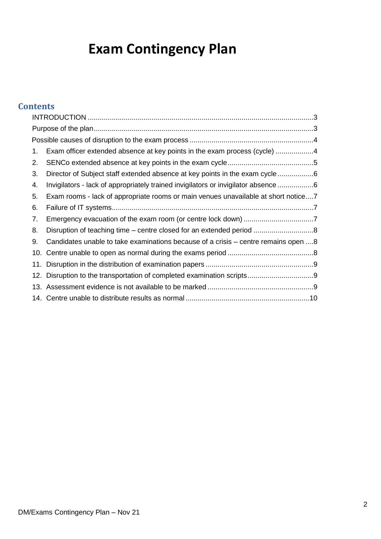## **Exam Contingency Plan**

### **Contents**

| 1. | Exam officer extended absence at key points in the exam process (cycle) 4          |  |
|----|------------------------------------------------------------------------------------|--|
| 2. |                                                                                    |  |
| 3. | Director of Subject staff extended absence at key points in the exam cycle6        |  |
| 4. | Invigilators - lack of appropriately trained invigilators or invigilator absence 6 |  |
| 5. | Exam rooms - lack of appropriate rooms or main venues unavailable at short notice7 |  |
| 6. |                                                                                    |  |
| 7. |                                                                                    |  |
| 8. |                                                                                    |  |
| 9. | Candidates unable to take examinations because of a crisis – centre remains open 8 |  |
|    |                                                                                    |  |
|    |                                                                                    |  |
|    |                                                                                    |  |
|    |                                                                                    |  |
|    |                                                                                    |  |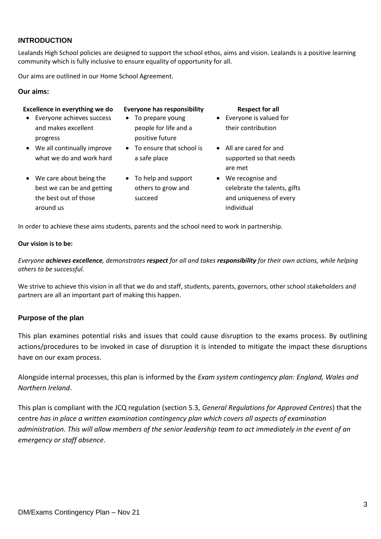#### <span id="page-2-0"></span>**INTRODUCTION**

Lealands High School policies are designed to support the school ethos, aims and vision. Lealands is a positive learning community which is fully inclusive to ensure equality of opportunity for all.

Our aims are outlined in our Home School Agreement.

#### **Our aims:**

#### **Excellence in everything we do Everyone has responsibility Respect for all** • To prepare young

people for life and a positive future

• To ensure that school is

- Everyone achieves success and makes excellent progress
- We all continually improve what we do and work hard
- We care about being the best we can be and getting the best out of those around us
- To help and support others to grow and succeed

a safe place

- Everyone is valued for their contribution
- All are cared for and supported so that needs are met
- We recognise and celebrate the talents, gifts and uniqueness of every individual

In order to achieve these aims students, parents and the school need to work in partnership.

#### **Our vision is to be:**

*Everyone achieves excellence, demonstrates respect for all and takes responsibility for their own actions, while helping others to be successful.*

We strive to achieve this vision in all that we do and staff, students, parents, governors, other school stakeholders and partners are all an important part of making this happen.

#### <span id="page-2-1"></span>**Purpose of the plan**

This plan examines potential risks and issues that could cause disruption to the exams process. By outlining actions/procedures to be invoked in case of disruption it is intended to mitigate the impact these disruptions have on our exam process.

Alongside internal processes, this plan is informed by the *Exam system contingency plan: England, Wales and Northern Ireland*.

This plan is compliant with the JCQ regulation (section 5.3, *General Regulations for Approved Centres*) that the centre *has in place a written examination contingency plan which covers all aspects of examination administration. This will allow members of the senior leadership team to act immediately in the event of an emergency or staff absence*.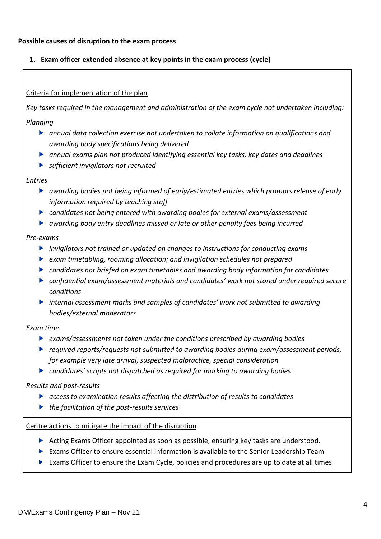#### <span id="page-3-0"></span>**Possible causes of disruption to the exam process**

#### <span id="page-3-1"></span>**1. Exam officer extended absence at key points in the exam process (cycle)**

#### Criteria for implementation of the plan

*Key tasks required in the management and administration of the exam cycle not undertaken including:*

*Planning*

- *annual data collection exercise not undertaken to collate information on qualifications and awarding body specifications being delivered*
- *annual exams plan not produced identifying essential key tasks, key dates and deadlines*
- *sufficient invigilators not recruited*

#### *Entries*

- *awarding bodies not being informed of early/estimated entries which prompts release of early information required by teaching staff*
- *candidates not being entered with awarding bodies for external exams/assessment*
- *awarding body entry deadlines missed or late or other penalty fees being incurred*

#### *Pre-exams*

- *invigilators not trained or updated on changes to instructions for conducting exams*
- *exam timetabling, rooming allocation; and invigilation schedules not prepared*
- *candidates not briefed on exam timetables and awarding body information for candidates*
- *confidential exam/assessment materials and candidates' work not stored under required secure conditions*
- *internal assessment marks and samples of candidates' work not submitted to awarding bodies/external moderators*

#### *Exam time*

- *exams/assessments not taken under the conditions prescribed by awarding bodies*
- *required reports/requests not submitted to awarding bodies during exam/assessment periods, for example very late arrival, suspected malpractice, special consideration*
- *candidates' scripts not dispatched as required for marking to awarding bodies*

#### *Results and post-results*

- *access to examination results affecting the distribution of results to candidates*
- *the facilitation of the post-results services*

- Acting Exams Officer appointed as soon as possible, ensuring key tasks are understood.
- Exams Officer to ensure essential information is available to the Senior Leadership Team
- Exams Officer to ensure the Exam Cycle, policies and procedures are up to date at all times.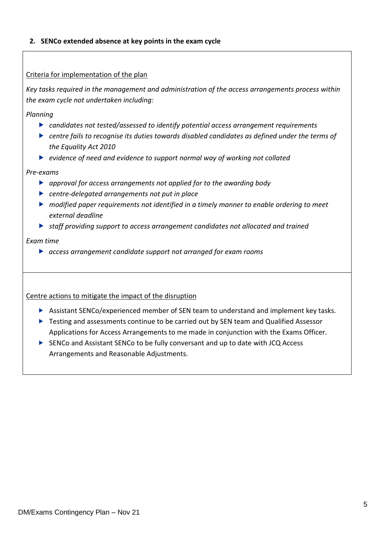#### <span id="page-4-0"></span>**2. SENCo extended absence at key points in the exam cycle**

#### Criteria for implementation of the plan

*Key tasks required in the management and administration of the access arrangements process within the exam cycle not undertaken including:*

*Planning*

- *candidates not tested/assessed to identify potential access arrangement requirements*
- *centre fails to recognise its duties towards disabled candidates as defined under the terms of the Equality Act 2010*
- *evidence of need and evidence to support normal way of working not collated*

*Pre-exams*

- *approval for access arrangements not applied for to the awarding body*
- *centre-delegated arrangements not put in place*
- *modified paper requirements not identified in a timely manner to enable ordering to meet external deadline*
- *staff providing support to access arrangement candidates not allocated and trained*

#### *Exam time*

*access arrangement candidate support not arranged for exam rooms*

- Assistant SENCo/experienced member of SEN team to understand and implement key tasks.
- ▶ Testing and assessments continue to be carried out by SEN team and Qualified Assessor Applications for Access Arrangements to me made in conjunction with the Exams Officer.
- ▶ SENCo and Assistant SENCo to be fully conversant and up to date with JCQ Access Arrangements and Reasonable Adjustments.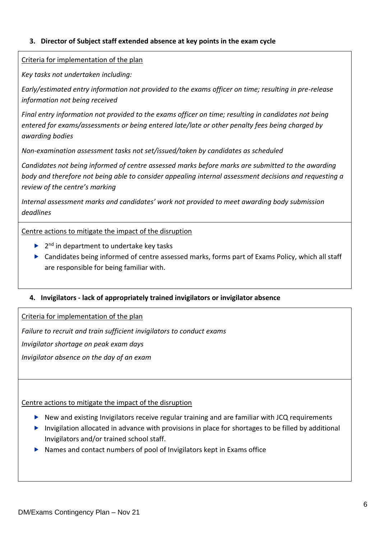#### <span id="page-5-0"></span>**3. Director of Subject staff extended absence at key points in the exam cycle**

#### Criteria for implementation of the plan

*Key tasks not undertaken including:*

*Early/estimated entry information not provided to the exams officer on time; resulting in pre-release information not being received*

*Final entry information not provided to the exams officer on time; resulting in candidates not being entered for exams/assessments or being entered late/late or other penalty fees being charged by awarding bodies*

*Non-examination assessment tasks not set/issued/taken by candidates as scheduled*

*Candidates not being informed of centre assessed marks before marks are submitted to the awarding body and therefore not being able to consider appealing internal assessment decisions and requesting a review of the centre's marking*

*Internal assessment marks and candidates' work not provided to meet awarding body submission deadlines*

#### Centre actions to mitigate the impact of the disruption

- $\blacktriangleright$  2<sup>nd</sup> in department to undertake key tasks
- Candidates being informed of centre assessed marks, forms part of Exams Policy, which all staff are responsible for being familiar with.

#### <span id="page-5-1"></span>**4. Invigilators - lack of appropriately trained invigilators or invigilator absence**

Criteria for implementation of the plan

*Failure to recruit and train sufficient invigilators to conduct exams*

*Invigilator shortage on peak exam days*

*Invigilator absence on the day of an exam*

- ▶ New and existing Invigilators receive regular training and are familiar with JCQ requirements
- Invigilation allocated in advance with provisions in place for shortages to be filled by additional Invigilators and/or trained school staff.
- Names and contact numbers of pool of Invigilators kept in Exams office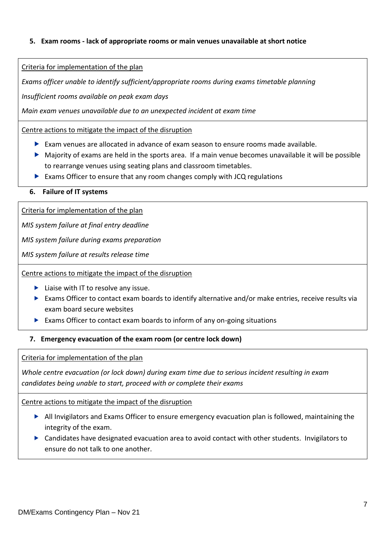#### **5. Exam rooms - lack of appropriate rooms or main venues unavailable at short notice**

<span id="page-6-0"></span>Criteria for implementation of the plan

*Exams officer unable to identify sufficient/appropriate rooms during exams timetable planning*

*Insufficient rooms available on peak exam days*

*Main exam venues unavailable due to an unexpected incident at exam time*

#### Centre actions to mitigate the impact of the disruption

- $\triangleright$  Exam venues are allocated in advance of exam season to ensure rooms made available.
- Majority of exams are held in the sports area. If a main venue becomes unavailable it will be possible to rearrange venues using seating plans and classroom timetables.
- Exams Officer to ensure that any room changes comply with JCQ regulations

#### <span id="page-6-1"></span>**6. Failure of IT systems**

Criteria for implementation of the plan

*MIS system failure at final entry deadline*

*MIS system failure during exams preparation*

*MIS system failure at results release time*

Centre actions to mitigate the impact of the disruption

- $\blacktriangleright$  Liaise with IT to resolve any issue.
- Exams Officer to contact exam boards to identify alternative and/or make entries, receive results via exam board secure websites
- $\triangleright$  Exams Officer to contact exam boards to inform of any on-going situations

#### <span id="page-6-2"></span>**7. Emergency evacuation of the exam room (or centre lock down)**

Criteria for implementation of the plan

*Whole centre evacuation (or lock down) during exam time due to serious incident resulting in exam candidates being unable to start, proceed with or complete their exams*

- All Invigilators and Exams Officer to ensure emergency evacuation plan is followed, maintaining the integrity of the exam.
- Candidates have designated evacuation area to avoid contact with other students. Invigilators to ensure do not talk to one another.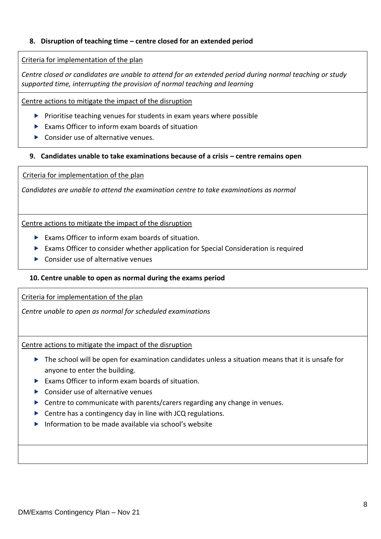#### <span id="page-7-0"></span>**8. Disruption of teaching time – centre closed for an extended period**

#### Criteria for implementation of the plan

*Centre closed or candidates are unable to attend for an extended period during normal teaching or study supported time, interrupting the provision of normal teaching and learning*

Centre actions to mitigate the impact of the disruption

- $\blacktriangleright$  Prioritise teaching venues for students in exam years where possible
- $\blacktriangleright$  Exams Officer to inform exam boards of situation
- ▶ Consider use of alternative venues.

#### <span id="page-7-1"></span>**9. Candidates unable to take examinations because of a crisis – centre remains open**

Criteria for implementation of the plan

*Candidates are unable to attend the examination centre to take examinations as normal*

Centre actions to mitigate the impact of the disruption

- Exams Officer to inform exam boards of situation.
- Exams Officer to consider whether application for Special Consideration is required
- $\blacktriangleright$  Consider use of alternative venues

#### <span id="page-7-2"></span>**10. Centre unable to open as normal during the exams period**

Criteria for implementation of the plan

*Centre unable to open as normal for scheduled examinations* 

- $\triangleright$  The school will be open for examination candidates unless a situation means that it is unsafe for anyone to enter the building.
- $\blacktriangleright$  Exams Officer to inform exam boards of situation.
- ▶ Consider use of alternative venues
- ▶ Centre to communicate with parents/carers regarding any change in venues.
- ▶ Centre has a contingency day in line with JCQ regulations.
- Information to be made available via school's website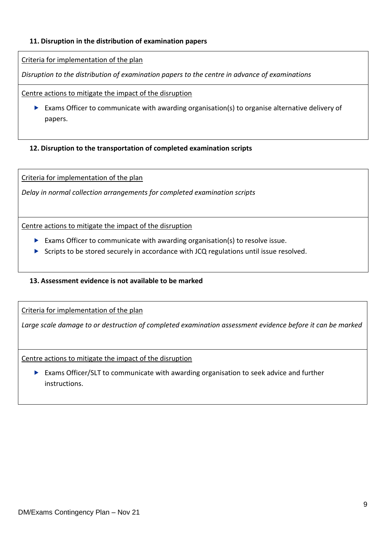#### <span id="page-8-0"></span>**11. Disruption in the distribution of examination papers**

Criteria for implementation of the plan

*Disruption to the distribution of examination papers to the centre in advance of examinations*

Centre actions to mitigate the impact of the disruption

 Exams Officer to communicate with awarding organisation(s) to organise alternative delivery of papers.

#### <span id="page-8-1"></span>**12. Disruption to the transportation of completed examination scripts**

Criteria for implementation of the plan

*Delay in normal collection arrangements for completed examination scripts*

Centre actions to mitigate the impact of the disruption

- Exams Officer to communicate with awarding organisation(s) to resolve issue.
- Scripts to be stored securely in accordance with JCQ regulations until issue resolved.

#### <span id="page-8-2"></span>**13. Assessment evidence is not available to be marked**

Criteria for implementation of the plan

*Large scale damage to or destruction of completed examination assessment evidence before it can be marked*

Centre actions to mitigate the impact of the disruption

▶ Exams Officer/SLT to communicate with awarding organisation to seek advice and further instructions.